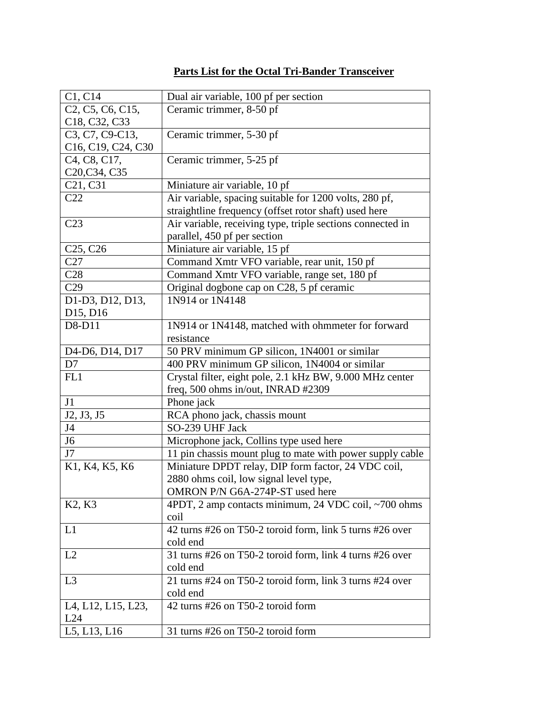## **Parts List for the Octal Tri-Bander Transceiver**

| C1, C14                                                               | Dual air variable, 100 pf per section                      |
|-----------------------------------------------------------------------|------------------------------------------------------------|
| C <sub>2</sub> , C <sub>5</sub> , C <sub>6</sub> , C <sub>15</sub> ,  | Ceramic trimmer, 8-50 pf                                   |
| C <sub>18</sub> , C <sub>32</sub> , C <sub>33</sub>                   |                                                            |
| C3, C7, C9-C13,                                                       | Ceramic trimmer, 5-30 pf                                   |
| C <sub>16</sub> , C <sub>19</sub> , C <sub>24</sub> , C <sub>30</sub> |                                                            |
| C <sub>4</sub> , C <sub>8</sub> , C <sub>17</sub> ,                   | Ceramic trimmer, 5-25 pf                                   |
| C20, C34, C35                                                         |                                                            |
| C <sub>21</sub> , C <sub>31</sub>                                     | Miniature air variable, 10 pf                              |
| C22                                                                   | Air variable, spacing suitable for 1200 volts, 280 pf,     |
|                                                                       | straightline frequency (offset rotor shaft) used here      |
| C <sub>23</sub>                                                       | Air variable, receiving type, triple sections connected in |
|                                                                       | parallel, 450 pf per section                               |
| C <sub>25</sub> , C <sub>26</sub>                                     | Miniature air variable, 15 pf                              |
| C27                                                                   | Command Xmtr VFO variable, rear unit, 150 pf               |
| C28                                                                   | Command Xmtr VFO variable, range set, 180 pf               |
| C29                                                                   | Original dogbone cap on C28, 5 pf ceramic                  |
| D1-D3, D12, D13,                                                      | 1N914 or 1N4148                                            |
| D <sub>15</sub> , D <sub>16</sub>                                     |                                                            |
| D8-D11                                                                | 1N914 or 1N4148, matched with ohmmeter for forward         |
|                                                                       | resistance                                                 |
| D <sub>4</sub> -D <sub>6</sub> , D <sub>14</sub> , D <sub>17</sub>    | 50 PRV minimum GP silicon, 1N4001 or similar               |
| D7                                                                    | 400 PRV minimum GP silicon, 1N4004 or similar              |
| FL1                                                                   | Crystal filter, eight pole, 2.1 kHz BW, 9.000 MHz center   |
|                                                                       | freq, 500 ohms in/out, INRAD #2309                         |
| J1                                                                    | Phone jack                                                 |
| J2, J3, J5                                                            | RCA phono jack, chassis mount                              |
| J <sub>4</sub>                                                        | SO-239 UHF Jack                                            |
| J6                                                                    | Microphone jack, Collins type used here                    |
| J7                                                                    | 11 pin chassis mount plug to mate with power supply cable  |
| K1, K4, K5, K6                                                        | Miniature DPDT relay, DIP form factor, 24 VDC coil,        |
|                                                                       | 2880 ohms coil, low signal level type,                     |
|                                                                       | OMRON P/N G6A-274P-ST used here                            |
| K <sub>2</sub> , K <sub>3</sub>                                       | 4PDT, 2 amp contacts minimum, 24 VDC coil, ~700 ohms       |
|                                                                       | coil                                                       |
| L1                                                                    | 42 turns #26 on T50-2 toroid form, link 5 turns #26 over   |
|                                                                       | cold end                                                   |
| L2                                                                    | 31 turns #26 on T50-2 toroid form, link 4 turns #26 over   |
|                                                                       | cold end                                                   |
| L <sub>3</sub>                                                        | 21 turns #24 on T50-2 toroid form, link 3 turns #24 over   |
|                                                                       | cold end                                                   |
| L4, L12, L15, L23,                                                    | 42 turns #26 on T50-2 toroid form                          |
| L24                                                                   |                                                            |
| L5, L13, L16                                                          | 31 turns #26 on T50-2 toroid form                          |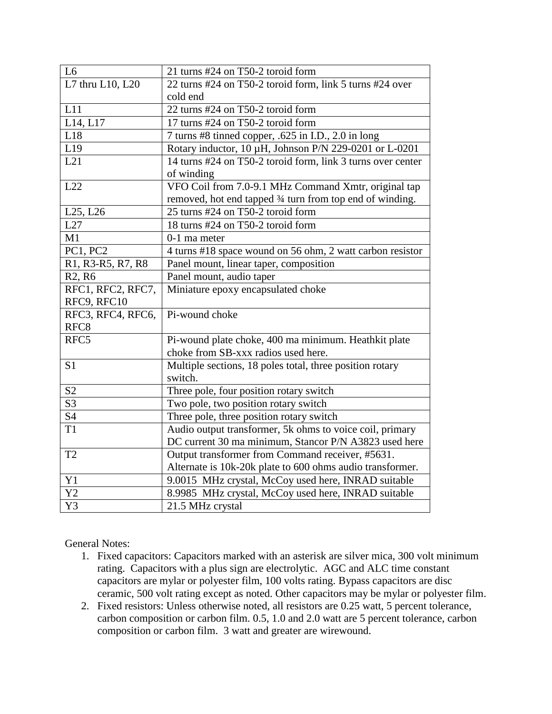| L <sub>6</sub>                  | 21 turns #24 on T50-2 toroid form                           |
|---------------------------------|-------------------------------------------------------------|
| L7 thru L10, L20                | 22 turns #24 on T50-2 toroid form, link 5 turns #24 over    |
|                                 | cold end                                                    |
| L11                             | 22 turns #24 on T50-2 toroid form                           |
| L14, L17                        | 17 turns #24 on T50-2 toroid form                           |
| L18                             | 7 turns #8 tinned copper, .625 in I.D., 2.0 in long         |
| L19                             | Rotary inductor, 10 µH, Johnson P/N 229-0201 or L-0201      |
| L21                             | 14 turns #24 on T50-2 toroid form, link 3 turns over center |
|                                 | of winding                                                  |
| L22                             | VFO Coil from 7.0-9.1 MHz Command Xmtr, original tap        |
|                                 | removed, hot end tapped 3⁄4 turn from top end of winding.   |
| L25, L26                        | 25 turns #24 on T50-2 toroid form                           |
| L27                             | 18 turns #24 on T50-2 toroid form                           |
| M1                              | 0-1 ma meter                                                |
| <b>PC1, PC2</b>                 | 4 turns #18 space wound on 56 ohm, 2 watt carbon resistor   |
| R1, R3-R5, R7, R8               | Panel mount, linear taper, composition                      |
| R <sub>2</sub> , R <sub>6</sub> | Panel mount, audio taper                                    |
| RFC1, RFC2, RFC7,               | Miniature epoxy encapsulated choke                          |
| RFC9, RFC10                     |                                                             |
| RFC3, RFC4, RFC6,               | Pi-wound choke                                              |
| RFC <sub>8</sub>                |                                                             |
| RFC5                            | Pi-wound plate choke, 400 ma minimum. Heathkit plate        |
|                                 | choke from SB-xxx radios used here.                         |
| S <sub>1</sub>                  | Multiple sections, 18 poles total, three position rotary    |
|                                 | switch.                                                     |
| S <sub>2</sub>                  | Three pole, four position rotary switch                     |
| $\overline{S3}$                 | Two pole, two position rotary switch                        |
| S4                              | Three pole, three position rotary switch                    |
| T <sub>1</sub>                  | Audio output transformer, 5k ohms to voice coil, primary    |
|                                 | DC current 30 ma minimum, Stancor P/N A3823 used here       |
| T <sub>2</sub>                  | Output transformer from Command receiver, #5631.            |
|                                 | Alternate is 10k-20k plate to 600 ohms audio transformer.   |
| Y1                              | 9.0015 MHz crystal, McCoy used here, INRAD suitable         |
| Y2                              | 8.9985 MHz crystal, McCoy used here, INRAD suitable         |
| Y3                              | 21.5 MHz crystal                                            |

General Notes:

- 1. Fixed capacitors: Capacitors marked with an asterisk are silver mica, 300 volt minimum rating. Capacitors with a plus sign are electrolytic. AGC and ALC time constant capacitors are mylar or polyester film, 100 volts rating. Bypass capacitors are disc ceramic, 500 volt rating except as noted. Other capacitors may be mylar or polyester film.
- 2. Fixed resistors: Unless otherwise noted, all resistors are 0.25 watt, 5 percent tolerance, carbon composition or carbon film. 0.5, 1.0 and 2.0 watt are 5 percent tolerance, carbon composition or carbon film. 3 watt and greater are wirewound.